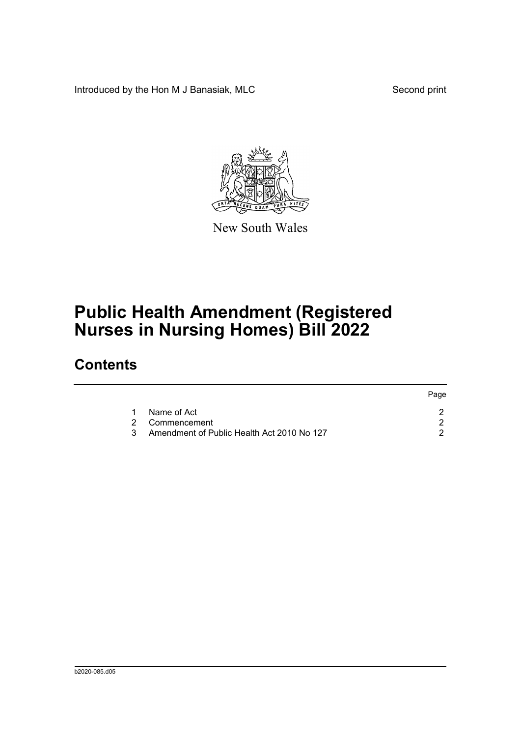Introduced by the Hon M J Banasiak, MLC Second print

 $P^2$ 



New South Wales

## **Public Health Amendment (Registered Nurses in Nursing Homes) Bill 2022**

## **Contents**

|  |                                            | Page. |
|--|--------------------------------------------|-------|
|  | Name of Act                                |       |
|  | 2 Commencement                             |       |
|  | Amendment of Public Health Act 2010 No 127 |       |
|  |                                            |       |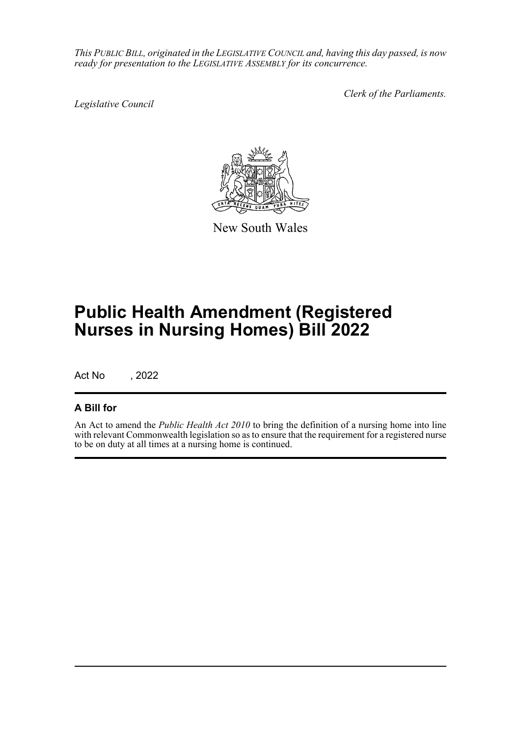*This PUBLIC BILL, originated in the LEGISLATIVE COUNCIL and, having this day passed, is now ready for presentation to the LEGISLATIVE ASSEMBLY for its concurrence.*

*Legislative Council*

*Clerk of the Parliaments.*



New South Wales

## **Public Health Amendment (Registered Nurses in Nursing Homes) Bill 2022**

Act No , 2022

## **A Bill for**

An Act to amend the *Public Health Act 2010* to bring the definition of a nursing home into line with relevant Commonwealth legislation so as to ensure that the requirement for a registered nurse to be on duty at all times at a nursing home is continued.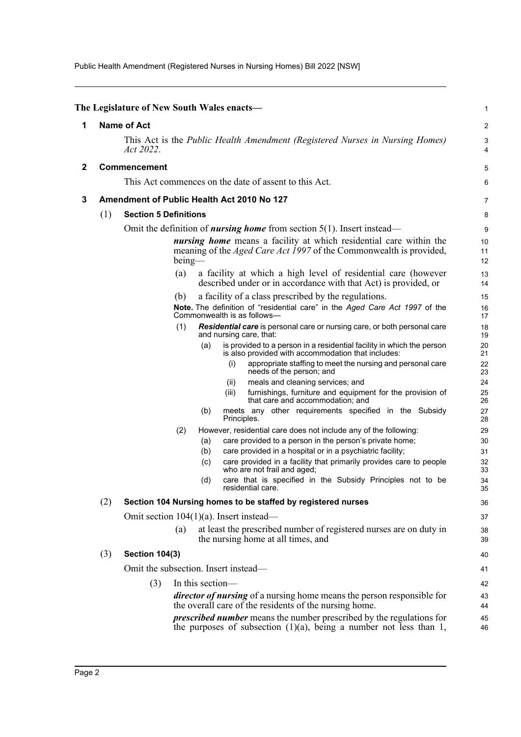Public Health Amendment (Registered Nurses in Nursing Homes) Bill 2022 [NSW]

<span id="page-2-2"></span><span id="page-2-1"></span><span id="page-2-0"></span>

|              |                                                                                                  | The Legislature of New South Wales enacts—                                       |     |                                            |                                                                                                                                                        | 1              |  |
|--------------|--------------------------------------------------------------------------------------------------|----------------------------------------------------------------------------------|-----|--------------------------------------------|--------------------------------------------------------------------------------------------------------------------------------------------------------|----------------|--|
| 1            | <b>Name of Act</b>                                                                               |                                                                                  |     |                                            |                                                                                                                                                        |                |  |
|              | This Act is the <i>Public Health Amendment (Registered Nurses in Nursing Homes)</i><br>Act 2022. |                                                                                  |     |                                            |                                                                                                                                                        |                |  |
| $\mathbf{2}$ | <b>Commencement</b>                                                                              |                                                                                  |     |                                            |                                                                                                                                                        |                |  |
|              |                                                                                                  | This Act commences on the date of assent to this Act.                            |     |                                            |                                                                                                                                                        |                |  |
| 3            |                                                                                                  |                                                                                  |     |                                            | Amendment of Public Health Act 2010 No 127                                                                                                             | $\overline{7}$ |  |
|              | (1)                                                                                              | <b>Section 5 Definitions</b>                                                     |     |                                            |                                                                                                                                                        |                |  |
|              |                                                                                                  | Omit the definition of <i>nursing home</i> from section $5(1)$ . Insert instead— |     |                                            |                                                                                                                                                        |                |  |
|              | $being$ —                                                                                        |                                                                                  |     |                                            | <i>nursing home</i> means a facility at which residential care within the<br>meaning of the <i>Aged Care Act 1997</i> of the Commonwealth is provided, | 10<br>11<br>12 |  |
|              |                                                                                                  |                                                                                  | (a) |                                            | a facility at which a high level of residential care (however<br>described under or in accordance with that Act) is provided, or                       | 13<br>14       |  |
|              |                                                                                                  |                                                                                  | (b) |                                            | a facility of a class prescribed by the regulations.                                                                                                   | 15             |  |
|              |                                                                                                  |                                                                                  |     |                                            | <b>Note.</b> The definition of "residential care" in the Aged Care Act 1997 of the<br>Commonwealth is as follows—                                      | 16<br>17       |  |
|              |                                                                                                  |                                                                                  | (1) |                                            | Residential care is personal care or nursing care, or both personal care<br>and nursing care, that:                                                    | 18<br>19       |  |
|              |                                                                                                  |                                                                                  |     | (a)                                        | is provided to a person in a residential facility in which the person<br>is also provided with accommodation that includes:                            | 20<br>21       |  |
|              |                                                                                                  |                                                                                  |     |                                            | (i)<br>appropriate staffing to meet the nursing and personal care<br>needs of the person; and                                                          | 22<br>23       |  |
|              |                                                                                                  |                                                                                  |     |                                            | meals and cleaning services; and<br>(ii)                                                                                                               | 24             |  |
|              |                                                                                                  |                                                                                  |     |                                            | furnishings, furniture and equipment for the provision of<br>(iii)<br>that care and accommodation; and                                                 | 25<br>26       |  |
|              |                                                                                                  |                                                                                  |     | (b)                                        | meets any other requirements specified in the Subsidy<br>Principles.                                                                                   | 27<br>28       |  |
|              |                                                                                                  |                                                                                  | (2) |                                            | However, residential care does not include any of the following:                                                                                       | 29             |  |
|              |                                                                                                  |                                                                                  |     | (a)                                        | care provided to a person in the person's private home;                                                                                                | 30             |  |
|              |                                                                                                  |                                                                                  |     | (b)                                        | care provided in a hospital or in a psychiatric facility;                                                                                              | 31             |  |
|              |                                                                                                  |                                                                                  |     | (c)                                        | care provided in a facility that primarily provides care to people<br>who are not frail and aged;                                                      | 32<br>33       |  |
|              |                                                                                                  |                                                                                  |     | (d)                                        | care that is specified in the Subsidy Principles not to be<br>residential care.                                                                        | 34<br>35       |  |
|              | (2)                                                                                              | Section 104 Nursing homes to be staffed by registered nurses                     |     |                                            |                                                                                                                                                        |                |  |
|              |                                                                                                  |                                                                                  |     | Omit section $104(1)(a)$ . Insert instead— |                                                                                                                                                        |                |  |
|              |                                                                                                  |                                                                                  | (a) |                                            | at least the prescribed number of registered nurses are on duty in<br>the nursing home at all times, and                                               | 38<br>39       |  |
|              | (3)                                                                                              | <b>Section 104(3)</b>                                                            |     |                                            |                                                                                                                                                        | 40             |  |
|              |                                                                                                  |                                                                                  |     |                                            | Omit the subsection. Insert instead—                                                                                                                   | 41             |  |
|              |                                                                                                  | (3)                                                                              |     | In this section-                           |                                                                                                                                                        | 42             |  |
|              |                                                                                                  |                                                                                  |     |                                            | director of nursing of a nursing home means the person responsible for<br>the overall care of the residents of the nursing home.                       | 43<br>44       |  |
|              |                                                                                                  |                                                                                  |     |                                            | <i>prescribed number</i> means the number prescribed by the regulations for<br>the purposes of subsection $(1)(a)$ , being a number not less than 1,   | 45<br>46       |  |